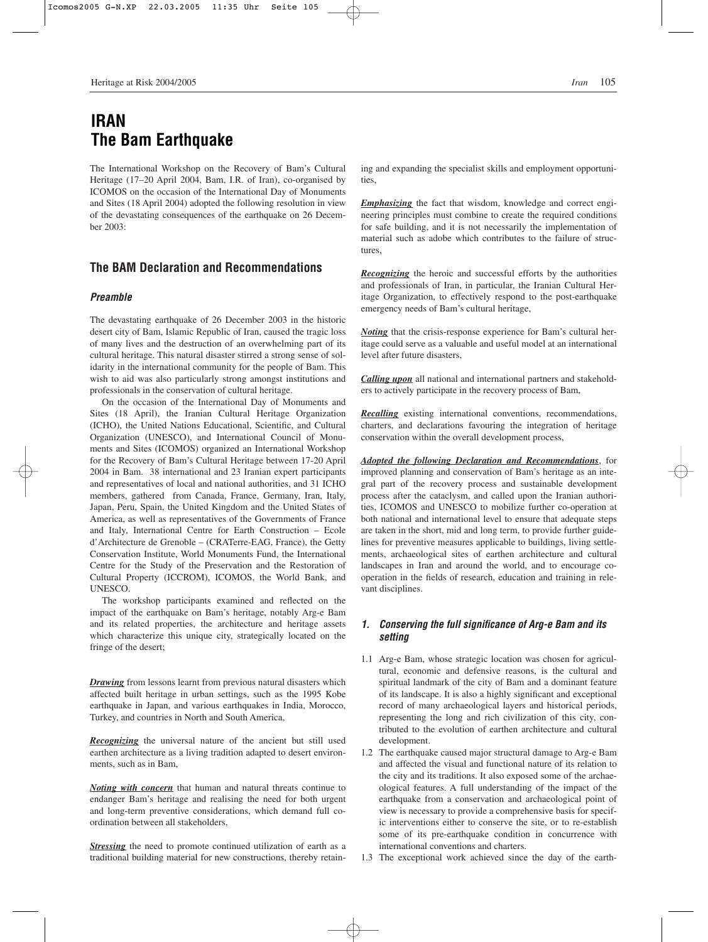# **IRAN The Bam Earthquake**

The International Workshop on the Recovery of Bam's Cultural Heritage (17–20 April 2004, Bam, I.R. of Iran), co-organised by ICOMOS on the occasion of the International Day of Monuments and Sites (18 April 2004) adopted the following resolution in view of the devastating consequences of the earthquake on 26 December 2003:

### **The BAM Declaration and Recommendations**

#### *Preamble*

The devastating earthquake of 26 December 2003 in the historic desert city of Bam, Islamic Republic of Iran, caused the tragic loss of many lives and the destruction of an overwhelming part of its cultural heritage. This natural disaster stirred a strong sense of solidarity in the international community for the people of Bam. This wish to aid was also particularly strong amongst institutions and professionals in the conservation of cultural heritage.

On the occasion of the International Day of Monuments and Sites (18 April), the Iranian Cultural Heritage Organization (ICHO), the United Nations Educational, Scientific, and Cultural Organization (UNESCO), and International Council of Monuments and Sites (ICOMOS) organized an International Workshop for the Recovery of Bam's Cultural Heritage between 17-20 April 2004 in Bam. 38 international and 23 Iranian expert participants and representatives of local and national authorities, and 31 ICHO members, gathered from Canada, France, Germany, Iran, Italy, Japan, Peru, Spain, the United Kingdom and the United States of America, as well as representatives of the Governments of France and Italy, International Centre for Earth Construction – Ecole d'Architecture de Grenoble – (CRATerre-EAG, France), the Getty Conservation Institute, World Monuments Fund, the International Centre for the Study of the Preservation and the Restoration of Cultural Property (ICCROM), ICOMOS, the World Bank, and UNESCO.

The workshop participants examined and reflected on the impact of the earthquake on Bam's heritage, notably Arg-e Bam and its related properties, the architecture and heritage assets which characterize this unique city, strategically located on the fringe of the desert;

*Drawing* from lessons learnt from previous natural disasters which affected built heritage in urban settings, such as the 1995 Kobe earthquake in Japan, and various earthquakes in India, Morocco, Turkey, and countries in North and South America,

*Recognizing* the universal nature of the ancient but still used earthen architecture as a living tradition adapted to desert environments, such as in Bam,

*Noting with concern* that human and natural threats continue to endanger Bam's heritage and realising the need for both urgent and long-term preventive considerations, which demand full coordination between all stakeholders,

**Stressing** the need to promote continued utilization of earth as a traditional building material for new constructions, thereby retain-

ing and expanding the specialist skills and employment opportunities,

*Emphasizing* the fact that wisdom, knowledge and correct engineering principles must combine to create the required conditions for safe building, and it is not necessarily the implementation of material such as adobe which contributes to the failure of structures,

*Recognizing* the heroic and successful efforts by the authorities and professionals of Iran, in particular, the Iranian Cultural Heritage Organization, to effectively respond to the post-earthquake emergency needs of Bam's cultural heritage,

*Noting* that the crisis-response experience for Bam's cultural heritage could serve as a valuable and useful model at an international level after future disasters,

*Calling upon* all national and international partners and stakeholders to actively participate in the recovery process of Bam,

*Recalling* existing international conventions, recommendations, charters, and declarations favouring the integration of heritage conservation within the overall development process,

*Adopted the following Declaration and Recommendations*, for improved planning and conservation of Bam's heritage as an integral part of the recovery process and sustainable development process after the cataclysm, and called upon the Iranian authorities, ICOMOS and UNESCO to mobilize further co-operation at both national and international level to ensure that adequate steps are taken in the short, mid and long term, to provide further guidelines for preventive measures applicable to buildings, living settlements, archaeological sites of earthen architecture and cultural landscapes in Iran and around the world, and to encourage cooperation in the fields of research, education and training in relevant disciplines.

#### *1. Conserving the full significance of Arg-e Bam and its setting*

- 1.1 Arg-e Bam, whose strategic location was chosen for agricultural, economic and defensive reasons, is the cultural and spiritual landmark of the city of Bam and a dominant feature of its landscape. It is also a highly significant and exceptional record of many archaeological layers and historical periods, representing the long and rich civilization of this city, contributed to the evolution of earthen architecture and cultural development.
- 1.2 The earthquake caused major structural damage to Arg-e Bam and affected the visual and functional nature of its relation to the city and its traditions. It also exposed some of the archaeological features. A full understanding of the impact of the earthquake from a conservation and archaeological point of view is necessary to provide a comprehensive basis for specific interventions either to conserve the site, or to re-establish some of its pre-earthquake condition in concurrence with international conventions and charters.
- 1.3 The exceptional work achieved since the day of the earth-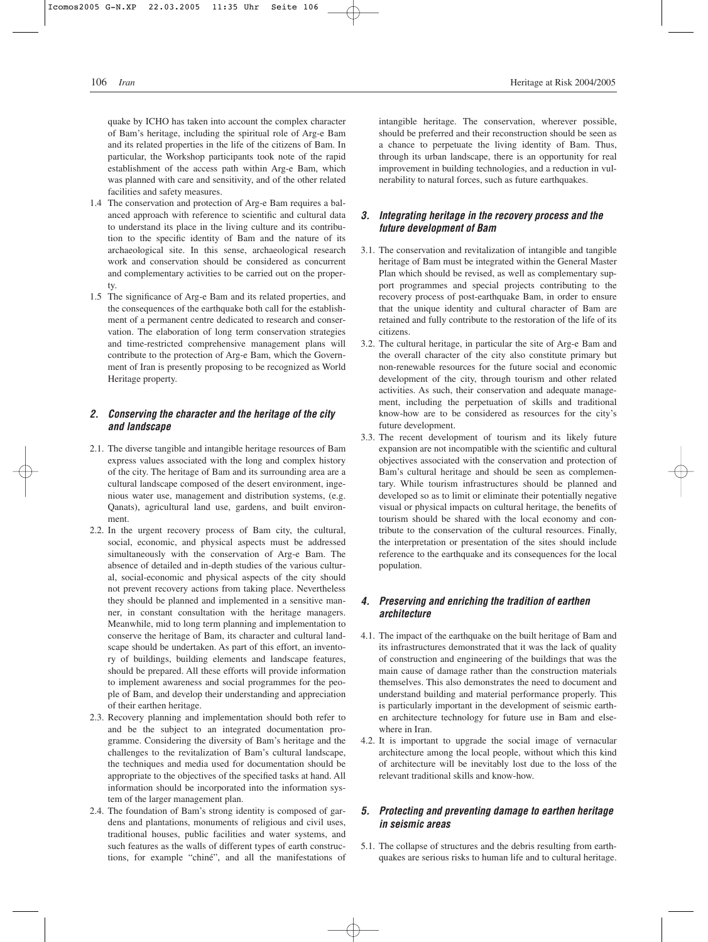quake by ICHO has taken into account the complex character of Bam's heritage, including the spiritual role of Arg-e Bam and its related properties in the life of the citizens of Bam. In particular, the Workshop participants took note of the rapid establishment of the access path within Arg-e Bam, which was planned with care and sensitivity, and of the other related facilities and safety measures.

- 1.4 The conservation and protection of Arg-e Bam requires a balanced approach with reference to scientific and cultural data to understand its place in the living culture and its contribution to the specific identity of Bam and the nature of its archaeological site. In this sense, archaeological research work and conservation should be considered as concurrent and complementary activities to be carried out on the property.
- 1.5 The significance of Arg-e Bam and its related properties, and the consequences of the earthquake both call for the establishment of a permanent centre dedicated to research and conservation. The elaboration of long term conservation strategies and time-restricted comprehensive management plans will contribute to the protection of Arg-e Bam, which the Government of Iran is presently proposing to be recognized as World Heritage property.

#### *2. Conserving the character and the heritage of the city and landscape*

- 2.1. The diverse tangible and intangible heritage resources of Bam express values associated with the long and complex history of the city. The heritage of Bam and its surrounding area are a cultural landscape composed of the desert environment, ingenious water use, management and distribution systems, (e.g. Qanats), agricultural land use, gardens, and built environment.
- 2.2. In the urgent recovery process of Bam city, the cultural, social, economic, and physical aspects must be addressed simultaneously with the conservation of Arg-e Bam. The absence of detailed and in-depth studies of the various cultural, social-economic and physical aspects of the city should not prevent recovery actions from taking place. Nevertheless they should be planned and implemented in a sensitive manner, in constant consultation with the heritage managers. Meanwhile, mid to long term planning and implementation to conserve the heritage of Bam, its character and cultural landscape should be undertaken. As part of this effort, an inventory of buildings, building elements and landscape features, should be prepared. All these efforts will provide information to implement awareness and social programmes for the people of Bam, and develop their understanding and appreciation of their earthen heritage.
- 2.3. Recovery planning and implementation should both refer to and be the subject to an integrated documentation programme. Considering the diversity of Bam's heritage and the challenges to the revitalization of Bam's cultural landscape, the techniques and media used for documentation should be appropriate to the objectives of the specified tasks at hand. All information should be incorporated into the information system of the larger management plan.
- 2.4. The foundation of Bam's strong identity is composed of gardens and plantations, monuments of religious and civil uses, traditional houses, public facilities and water systems, and such features as the walls of different types of earth constructions, for example "chiné", and all the manifestations of

intangible heritage. The conservation, wherever possible, should be preferred and their reconstruction should be seen as a chance to perpetuate the living identity of Bam. Thus, through its urban landscape, there is an opportunity for real improvement in building technologies, and a reduction in vulnerability to natural forces, such as future earthquakes.

#### *3. Integrating heritage in the recovery process and the future development of Bam*

- 3.1. The conservation and revitalization of intangible and tangible heritage of Bam must be integrated within the General Master Plan which should be revised, as well as complementary support programmes and special projects contributing to the recovery process of post-earthquake Bam, in order to ensure that the unique identity and cultural character of Bam are retained and fully contribute to the restoration of the life of its citizens.
- 3.2. The cultural heritage, in particular the site of Arg-e Bam and the overall character of the city also constitute primary but non-renewable resources for the future social and economic development of the city, through tourism and other related activities. As such, their conservation and adequate management, including the perpetuation of skills and traditional know-how are to be considered as resources for the city's future development.
- 3.3. The recent development of tourism and its likely future expansion are not incompatible with the scientific and cultural objectives associated with the conservation and protection of Bam's cultural heritage and should be seen as complementary. While tourism infrastructures should be planned and developed so as to limit or eliminate their potentially negative visual or physical impacts on cultural heritage, the benefits of tourism should be shared with the local economy and contribute to the conservation of the cultural resources. Finally, the interpretation or presentation of the sites should include reference to the earthquake and its consequences for the local population.

#### *4. Preserving and enriching the tradition of earthen architecture*

- 4.1. The impact of the earthquake on the built heritage of Bam and its infrastructures demonstrated that it was the lack of quality of construction and engineering of the buildings that was the main cause of damage rather than the construction materials themselves. This also demonstrates the need to document and understand building and material performance properly. This is particularly important in the development of seismic earthen architecture technology for future use in Bam and elsewhere in Iran.
- 4.2. It is important to upgrade the social image of vernacular architecture among the local people, without which this kind of architecture will be inevitably lost due to the loss of the relevant traditional skills and know-how.

#### *5. Protecting and preventing damage to earthen heritage in seismic areas*

5.1. The collapse of structures and the debris resulting from earthquakes are serious risks to human life and to cultural heritage.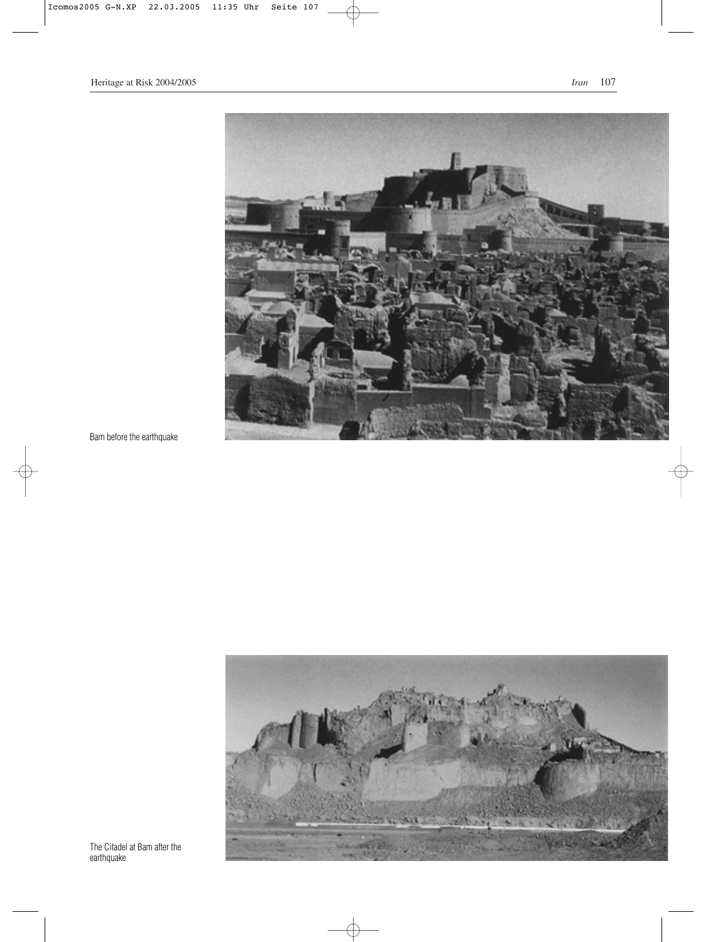## Heritage at Risk 2004/2005 *Iran* 107



 $\oplus$ 

Bam before the earthquake



The Citadel at Bam after the earthquake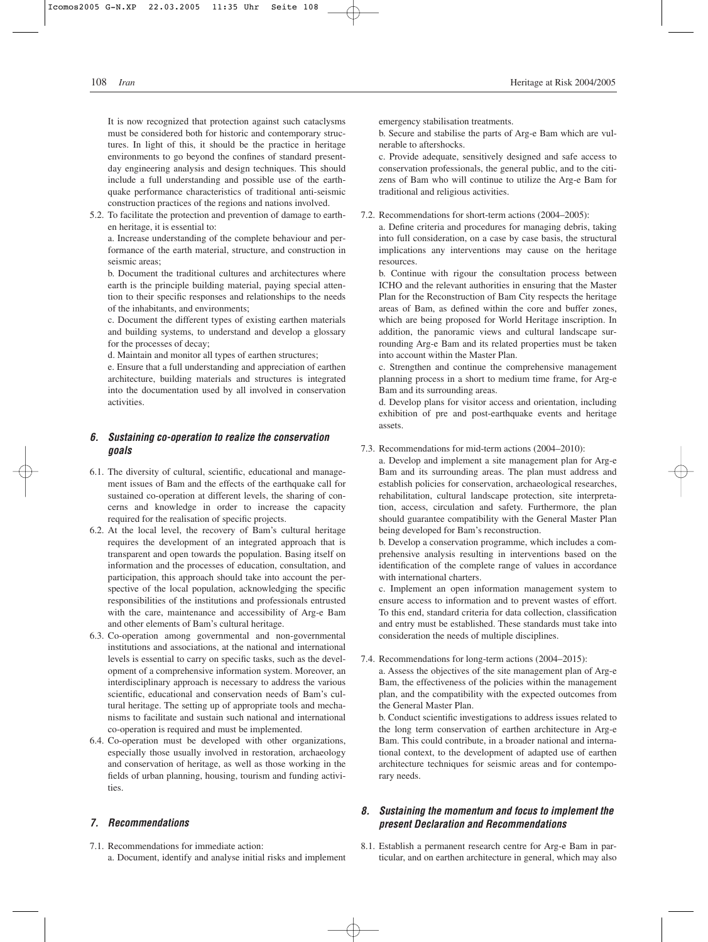It is now recognized that protection against such cataclysms must be considered both for historic and contemporary structures. In light of this, it should be the practice in heritage environments to go beyond the confines of standard presentday engineering analysis and design techniques. This should include a full understanding and possible use of the earthquake performance characteristics of traditional anti-seismic construction practices of the regions and nations involved.

5.2. To facilitate the protection and prevention of damage to earthen heritage, it is essential to:

a. Increase understanding of the complete behaviour and performance of the earth material, structure, and construction in seismic areas;

b. Document the traditional cultures and architectures where earth is the principle building material, paying special attention to their specific responses and relationships to the needs of the inhabitants, and environments;

c. Document the different types of existing earthen materials and building systems, to understand and develop a glossary for the processes of decay;

d. Maintain and monitor all types of earthen structures;

e. Ensure that a full understanding and appreciation of earthen architecture, building materials and structures is integrated into the documentation used by all involved in conservation activities.

#### *6. Sustaining co-operation to realize the conservation goals*

- 6.1. The diversity of cultural, scientific, educational and management issues of Bam and the effects of the earthquake call for sustained co-operation at different levels, the sharing of concerns and knowledge in order to increase the capacity required for the realisation of specific projects.
- 6.2. At the local level, the recovery of Bam's cultural heritage requires the development of an integrated approach that is transparent and open towards the population. Basing itself on information and the processes of education, consultation, and participation, this approach should take into account the perspective of the local population, acknowledging the specific responsibilities of the institutions and professionals entrusted with the care, maintenance and accessibility of Arg-e Bam and other elements of Bam's cultural heritage.
- 6.3. Co-operation among governmental and non-governmental institutions and associations, at the national and international levels is essential to carry on specific tasks, such as the development of a comprehensive information system. Moreover, an interdisciplinary approach is necessary to address the various scientific, educational and conservation needs of Bam's cultural heritage. The setting up of appropriate tools and mechanisms to facilitate and sustain such national and international co-operation is required and must be implemented.
- 6.4. Co-operation must be developed with other organizations, especially those usually involved in restoration, archaeology and conservation of heritage, as well as those working in the fields of urban planning, housing, tourism and funding activities.

#### *7. Recommendations*

7.1. Recommendations for immediate action: a. Document, identify and analyse initial risks and implement emergency stabilisation treatments.

b. Secure and stabilise the parts of Arg-e Bam which are vulnerable to aftershocks.

c. Provide adequate, sensitively designed and safe access to conservation professionals, the general public, and to the citizens of Bam who will continue to utilize the Arg-e Bam for traditional and religious activities.

7.2. Recommendations for short-term actions (2004–2005):

a. Define criteria and procedures for managing debris, taking into full consideration, on a case by case basis, the structural implications any interventions may cause on the heritage resources.

b. Continue with rigour the consultation process between ICHO and the relevant authorities in ensuring that the Master Plan for the Reconstruction of Bam City respects the heritage areas of Bam, as defined within the core and buffer zones, which are being proposed for World Heritage inscription. In addition, the panoramic views and cultural landscape surrounding Arg-e Bam and its related properties must be taken into account within the Master Plan.

c. Strengthen and continue the comprehensive management planning process in a short to medium time frame, for Arg-e Bam and its surrounding areas.

d. Develop plans for visitor access and orientation, including exhibition of pre and post-earthquake events and heritage assets.

7.3. Recommendations for mid-term actions (2004–2010):

a. Develop and implement a site management plan for Arg-e Bam and its surrounding areas. The plan must address and establish policies for conservation, archaeological researches, rehabilitation, cultural landscape protection, site interpretation, access, circulation and safety. Furthermore, the plan should guarantee compatibility with the General Master Plan being developed for Bam's reconstruction.

b. Develop a conservation programme, which includes a comprehensive analysis resulting in interventions based on the identification of the complete range of values in accordance with international charters.

c. Implement an open information management system to ensure access to information and to prevent wastes of effort. To this end, standard criteria for data collection, classification and entry must be established. These standards must take into consideration the needs of multiple disciplines.

7.4. Recommendations for long-term actions (2004–2015):

a. Assess the objectives of the site management plan of Arg-e Bam, the effectiveness of the policies within the management plan, and the compatibility with the expected outcomes from the General Master Plan.

b. Conduct scientific investigations to address issues related to the long term conservation of earthen architecture in Arg-e Bam. This could contribute, in a broader national and international context, to the development of adapted use of earthen architecture techniques for seismic areas and for contemporary needs.

#### *8. Sustaining the momentum and focus to implement the present Declaration and Recommendations*

8.1. Establish a permanent research centre for Arg-e Bam in particular, and on earthen architecture in general, which may also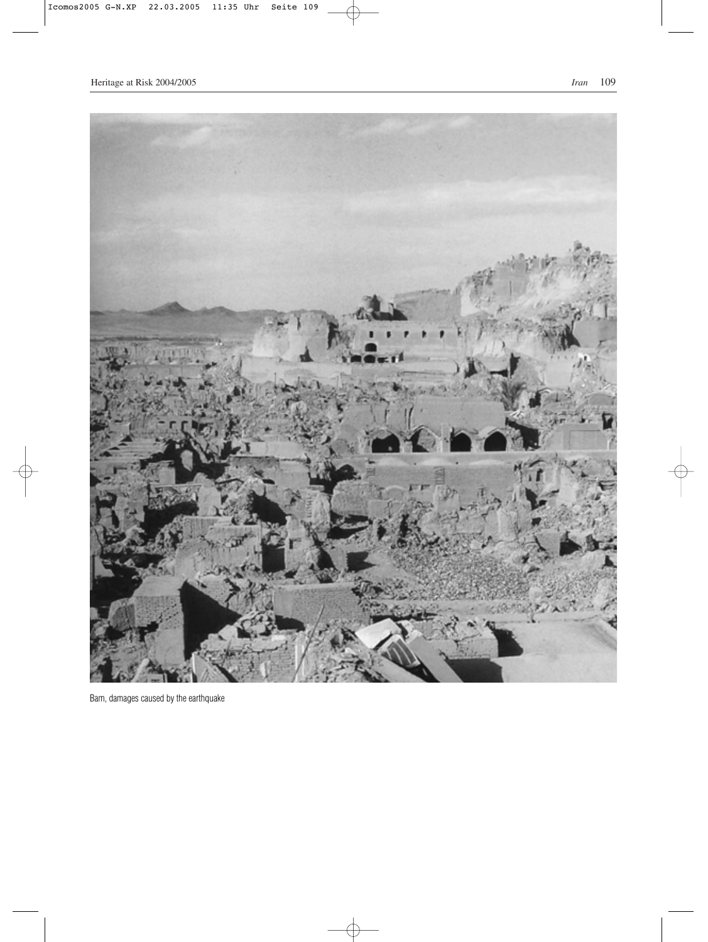

Bam, damages caused by the earthquake